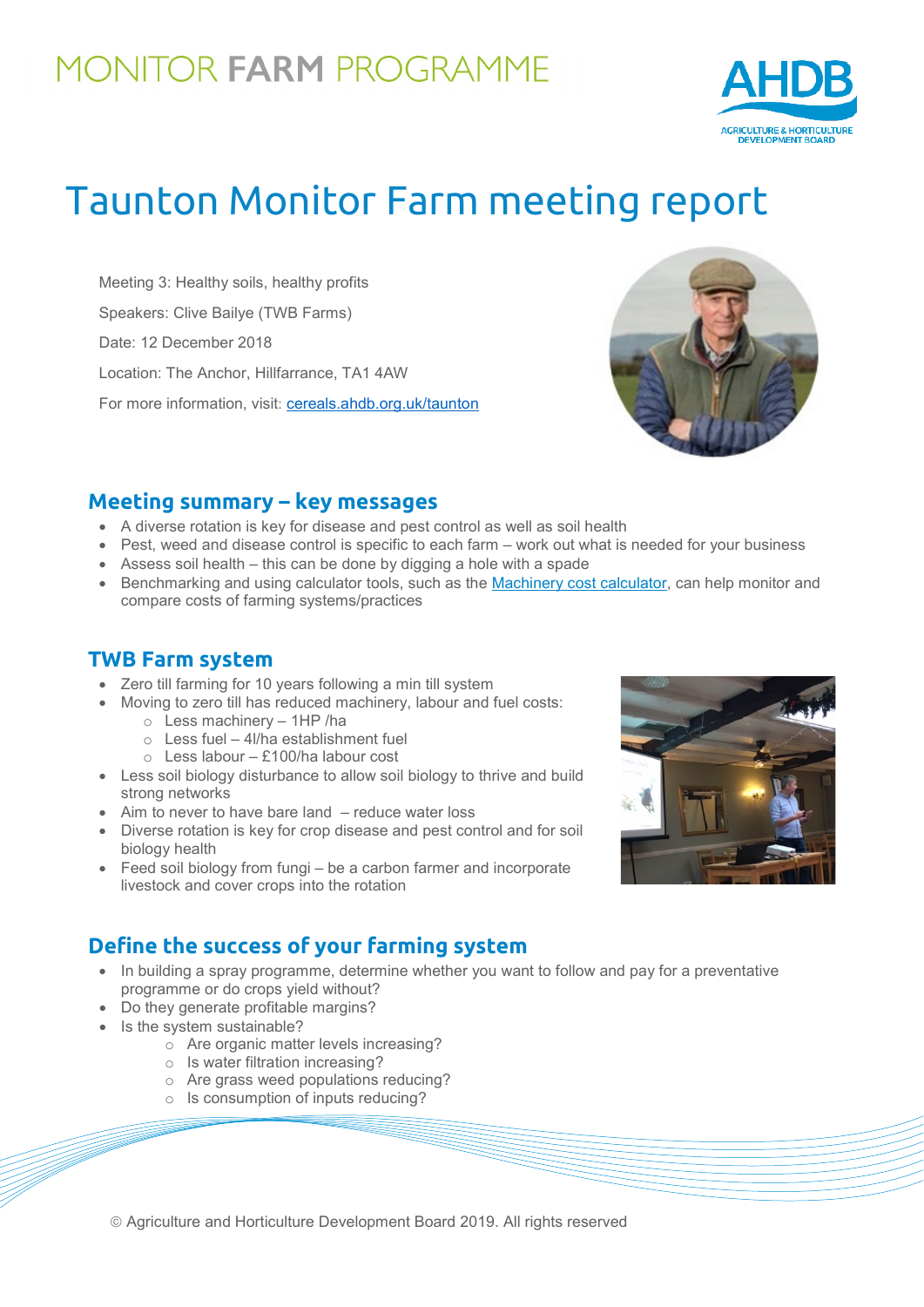# MONITOR FARM PROGRAMME



# Taunton Monitor Farm meeting report

Meeting 3: Healthy soils, healthy profits Speakers: Clive Bailye (TWB Farms) Date: 12 December 2018 Location: The Anchor, Hillfarrance, TA1 4AW For more information, visit: [cereals.ahdb.org.uk/taunton](https://cereals.ahdb.org.uk/get-involved/monitorfarms/taunton-monitor-farm.aspx)



#### **Meeting summary – key messages**

- A diverse rotation is key for disease and pest control as well as soil health
- Pest, weed and disease control is specific to each farm work out what is needed for your business
- Assess soil health this can be done by digging a hole with a spade
- Benchmarking and using calculator tools, such as the [Machinery cost calculator,](https://ahdb.org.uk/machinery-costing-calculator) can help monitor and compare costs of farming systems/practices

#### **TWB Farm system**

- Zero till farming for 10 years following a min till system
- Moving to zero till has reduced machinery, labour and fuel costs: o Less machinery – 1HP /ha
	- $\circ$  Less fuel 4l/ha establishment fuel
	- o Less labour £100/ha labour cost
- Less soil biology disturbance to allow soil biology to thrive and build strong networks
- Aim to never to have bare land reduce water loss
- Diverse rotation is key for crop disease and pest control and for soil biology health
- Feed soil biology from fungi be a carbon farmer and incorporate livestock and cover crops into the rotation

### **Define the success of your farming system**

- In building a spray programme, determine whether you want to follow and pay for a preventative programme or do crops yield without?
- Do they generate profitable margins?
- Is the system sustainable?
	- o Are organic matter levels increasing?
	- o Is water filtration increasing?
	- o Are grass weed populations reducing?
	- o Is consumption of inputs reducing?

Agriculture and Horticulture Development Board 2019. All rights reserved